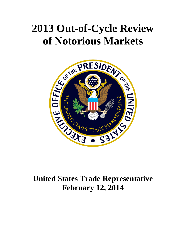# **2013 Out-of-Cycle Review of Notorious Markets**



# **United States Trade Representative February 12, 2014**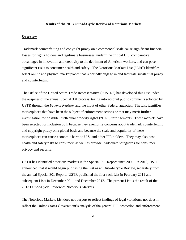#### **Results of the 2013 Out-of-Cycle Review of Notorious Markets**

# **Overview**

Trademark counterfeiting and copyright piracy on a commercial scale cause significant financial losses for rights holders and legitimate businesses, undermine critical U.S. comparative advantages in innovation and creativity to the detriment of American workers, and can pose significant risks to consumer health and safety. The Notorious Markets List ("List") identifies select online and physical marketplaces that reportedly engage in and facilitate substantial piracy and counterfeiting.

The Office of the United States Trade Representative ("USTR") has developed this List under the auspices of the annual Special 301 process, taking into account public comments solicited by USTR through the *Federal Register* and the input of other Federal agencies. The List identifies marketplaces that have been the subject of enforcement actions or that may merit further investigation for possible intellectual property rights ("IPR") infringements. These markets have been selected for inclusion both because they exemplify concerns about trademark counterfeiting and copyright piracy on a global basis and because the scale and popularity of these marketplaces can cause economic harm to U.S. and other IPR holders. They may also pose health and safety risks to consumers as well as provide inadequate safeguards for consumer privacy and security.

USTR has identified notorious markets in the Special 301 Report since 2006. In 2010, USTR announced that it would begin publishing the List as an Out-of-Cycle Review, separately from the annual Special 301 Report. USTR published the first such List in February 2011 and subsequent Lists in December 2011 and December 2012. The present List is the result of the 2013 Out-of-Cycle Review of Notorious Markets.

The Notorious Markets List does not purport to reflect findings of legal violations, nor does it reflect the United States Government's analysis of the general IPR protection and enforcement

2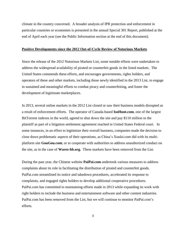climate in the country concerned. A broader analysis of IPR protection and enforcement in particular countries or economies is presented in the annual Special 301 Report, published at the end of April each year (see the Public Information section at the end of this document).

#### **Positive Developments since the 2012 Out-of-Cycle Review of Notorious Markets**

Since the release of the 2012 Notorious Markets List, some notable efforts were undertaken to address the widespread availability of pirated or counterfeit goods in the listed markets. The United States commends these efforts, and encourages governments, rights holders, and operators of these and other markets, including those newly identified in the 2013 List, to engage in sustained and meaningful efforts to combat piracy and counterfeiting, and foster the development of legitimate marketplaces.

In 2013, several online markets in the 2012 List closed or saw their business models disrupted as a result of enforcement efforts. The operator of Canada-based **IsoHunt.com**, one of the largest BitTorrent indexes in the world, agreed to shut down the site and pay \$110 million to the plaintiff as part of a litigation settlement agreement reached in United States Federal court. In some instances, in an effort to legitimize their overall business, companies made the decision to close down problematic aspects of their operations, as China's Xunlei.com did with its multiplatform site **GouGou.com**; or to cooperate with authorities to address unauthorized conduct on the site, as in the case of **Warez-bb.org.** These markets have been removed from the List.

During the past year, the Chinese website **PaiPai.com** undertook various measures to address complaints about its role in facilitating the distribution of pirated and counterfeit goods. PaiPai.com streamlined its notice and takedown procedures, accelerated its response to complaints, and engaged rights holders to develop additional cooperative procedures. PaiPai.com has committed to maintaining efforts made in 2013 while expanding its work with right holders to include the business and entertainment software and other content industries. PaiPai.com has been removed from the List, but we will continue to monitor PaiPai.com's efforts.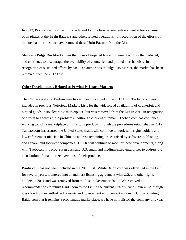In 2013, Pakistani authorities in Karachi and Lahore took several enforcement actions against book pirates at the **Urdu Bazaars** and other, related operations. In recognition of the efforts of the local authorities, we have removed these Urdu Bazaars from the List.

**Mexico's Pulga Rio Market** was the focus of targeted law enforcement activity that reduced, and continues to discourage, the availability of counterfeit and pirated merchandise. In recognition of sustained efforts by Mexican authorities at Pulga Rio Market, the market has been removed from the 2013 List.

#### **Other Developments Related to Previously Listed Markets**

The Chinese website **Taobao.com** has not been included in the 2013 List.Taobao.com was included in previous Notorious Markets Lists for the widespread availability of counterfeit and pirated goods in its electronic marketplace, but was removed from the List in 2012 in recognition of efforts to address these problems. Although challenges remain, Taobao.com has continued working to rid its marketplace of infringing products through the procedures established in 2012. Taobao.com has assured the United States that it will continue to work with rights holders and law enforcement officials in China to address remaining issues raised by software, publishing and apparel and footwear companies. USTR will continue to monitor these developments, along with Taobao.com's progress in assisting U.S. small and medium-sized enterprises to address the distribution of unauthorized versions of their products.

**Baidu.com** has not been included in the 2013 List. While Baidu.com was identified in the List for several years, it entered into a landmark licensing agreement with U.S. and other rights holders in 2011 and was removed from the List in December 2011. We received no recommendations to return Baidu.com to the List in the current Out-of-Cycle Review. Although it is clear from recently-filed lawsuits and government enforcement actions in China targeting Baidu.com that it remains a problematic marketplace, we have not relisted the company this year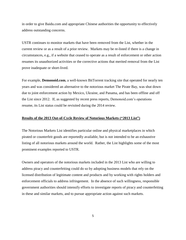in order to give Baidu.com and appropriate Chinese authorities the opportunity to effectively address outstanding concerns.

USTR continues to monitor markets that have been removed from the List, whether in the current review or as a result of a prior review. Markets may be re-listed if there is a change in circumstances, e.g., if a website that ceased to operate as a result of enforcement or other action resumes its unauthorized activities or the corrective actions that merited removal from the List prove inadequate or short-lived.

For example, **Demonoid.com**, a well-known BitTorrent tracking site that operated for nearly ten years and was considered an alternative to the notorious market The Pirate Bay, was shut down due to joint enforcement action by Mexico, Ukraine, and Panama, and has been offline and off the List since 2012. If, as suggested by recent press reports, Demonoid.com's operations resume, its List status could be revisited during the 2014 review.

# **Results of the 2013 Out-of-Cycle Review of Notorious Markets ("2013 List")**

The Notorious Markets List identifies particular online and physical marketplaces in which pirated or counterfeit goods are reportedly available, but is not intended to be an exhaustive listing of all notorious markets around the world. Rather, the List highlights some of the most prominent examples reported to USTR.

Owners and operators of the notorious markets included in the 2013 List who are willing to address piracy and counterfeiting could do so by adopting business models that rely on the licensed distribution of legitimate content and products and by working with rights holders and enforcement officials to address infringement. In the absence of such willingness, responsible government authorities should intensify efforts to investigate reports of piracy and counterfeiting in these and similar markets, and to pursue appropriate action against such markets.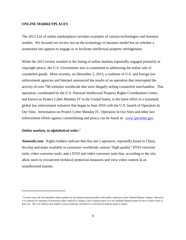# **ONLINE MARKETPLACES**

The 2013 List of online marketplaces includes examples of various technologies and business models. We focused our review not on the technology or business model but on whether a nominated site appears to engage in or facilitate intellectual property infringement.

While the 2013 review resulted in the listing of online markets reportedly engaged primarily in copyright piracy, the U.S. Government also is committed to addressing the online sale of counterfeit goods. Most recently, on December 2, 2013, a coalition of U.S. and foreign law enforcement agencies and Interpol announced the results of an operation that interrupted the activity of over 700 websites worldwide that were illegally selling counterfeit merchandise. This operation, coordinated by the U.S. National Intellectual Property Rights Coordination Center, and known as Project Cyber Monday IV in the United States, is the latest effort in a sustained, global law enforcement initiative that began in June 2010 with the U.S. launch of Operation In Our Sites. Information on Project Cyber Monday IV, Operation In Our Sites and other law enforcement efforts against counterfeiting and piracy can be found at: [www.iprcenter.gov.](http://www.iprcenter.gov/)

# *Online markets, in alphabetical order:*<sup>1</sup>

l

**Aiseesoft.com**:Rights holders indicate that this site's operators, reportedly based in China, develop and make available to customers worldwide various "high-quality" DVD converter tools, video converter tools, and a DVD and video converter suite that, according to the site, allow users to circumvent technical protection measures and view video content in an unauthorized manner.

<sup>&</sup>lt;sup>1</sup> In most cases, the List identifies online markets by the domain name provided in the public responses to the *Federal Register* request. However, it is common for operators of notorious online markets to change a site's domain name or to use multiple domain names at once to direct users to their site. The List reflects each market's most commonly referred to or well-known domain name or names.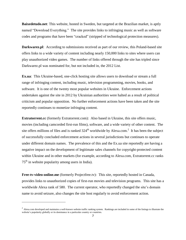**Baixedetudo.net**: This website, hosted in Sweden, but targeted at the Brazilian market, is aptly named "Download Everything." The site provides links to infringing music as well as software codes and programs that have been "cracked" (stripped of technological protection measures).

**Darkwarez.pl**: According to submissions received as part of our review, this Poland-based site offers links to a wide variety of content including nearly 150,000 links to sites where users can play unauthorized video games. The number of links offered through the site has tripled since Darkwarez.pl was nominated for, but not included in, the 2012 List.

**Ex.ua**: This Ukraine-based, one-click hosting site allows users to download or stream a full range of infringing content, including music, television programming, movies, books, and software. It is one of the twenty most popular websites in Ukraine. Enforcement actions undertaken against the site in 2012 by Ukrainian authorities were halted as a result of political criticism and popular opposition. No further enforcement actions have been taken and the site reportedly continues to monetize infringing content.

**Extratorrent.cc** (formerly Extratorrent.com): Also based in Ukraine, this site offers music, movies (including camcorded first-run films), software, and a wide variety of other content. The site offers millions of files and is ranked  $324<sup>th</sup>$  worldwide by Alexa.com.<sup>2</sup> It has been the subject of successfully concluded enforcement actions in several jurisdictions but continues to operate under different domain names. The prevalence of this and the Ex.ua site reportedly are having a negative impact on the development of legitimate sales channels for copyright-protected content within Ukraine and in other markets (for example, according to Alexa.com, Extratorrent.cc ranks  $75<sup>th</sup>$  in website popularity among users in India).

**Free-tv-video-online.me** (formerly Projectfree.tv): This site, reportedly hosted in Canada, provides links to unauthorized copies of first-run movies and television programs. This site has a worldwide Alexa rank of 580. The current operator, who reportedly changed the site's domain name to avoid seizure, also changes the site host regularly to avoid enforcement action.

 $\overline{\phantom{a}}$ 

 $^2$  Alexa.com developed and maintains a well-known website traffic ranking system. Rankings are included in some of the listings to illustrate the website's popularity globally or its dominance in a particular country or countries.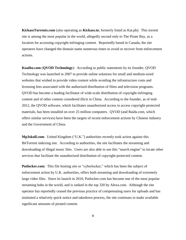**KickassTorrents.com** (also operating as **Kickass.to**; formerly listed as Kat.ph):This torrent site is among the most popular in the world, allegedly second only to The Pirate Bay, as a location for accessing copyright-infringing content. Reportedly based in Canada, the site operators have changed the domain name numerous times to avoid or recover from enforcement actions.

**Kuaibo.com** (**QVOD Technology**): According to public statements by its founder, QVOD Technology was launched in 2007 to provide online solutions for small and medium-sized websites that wished to provide video content while avoiding the infrastructure costs and licensing fees associated with the authorized distribution of films and television programs. QVOD has become a leading facilitator of wide-scale distribution of copyright-infringing content and of other content considered illicit in China. According to the founder, as of mid-2012, the QVOD software, which facilitates unauthorized access to access copyright-protected materials, has been installed on over 25 million computers. QVOD (and Baidu.com, which offers similar services) have been the targets of recent enforcement actions by Chinese industry and the Government of China.

**Mp3skull.com**: United Kingdom ("U.K.") authorities recently took action against this BitTorrent indexing site. According to authorities, the site facilitates the streaming and downloading of illegal music files. Users are also able to use this "search engine" to locate other services that facilitate the unauthorized distribution of copyright-protected content.

Putlocker.com: This file hosting site or "cyberlocker," which has been the subject of enforcement action by U.K. authorities, offers both streaming and downloading of extremely large video files. Since its launch in 2010, Putlocker.com has become one of the most popular streaming hubs in the world, and is ranked in the top 320 by Alexa.com. Although the site operator has reportedly ceased the previous practice of compensating users for uploads and has instituted a relatively quick notice and takedown process, the site continues to make available significant amounts of pirated content.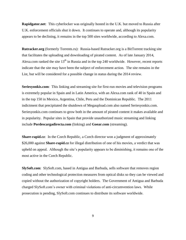**Rapidgator.net**: This cyberlocker was originally hosted in the U.K. but moved to Russia after U.K. enforcement officials shut it down. It continues to operate and, although its popularity appears to be declining, it remains in the top 500 sites worldwide, according to Alexa.com.

**Rutracker.org** (formerly Torrents.ru):Russia-based Rutracker.org is a BitTorrent tracking site that facilitates the uploading and downloading of pirated content. As of late January 2014, Alexa.com ranked the site  $13<sup>th</sup>$  in Russia and in the top 240 worldwide. However, recent reports indicate that the site may have been the subject of enforcement action. The site remains in the List, but will be considered for a possible change in status during the 2014 review.

**Seriesyonkis.com**: This linking and streaming site for first-run movies and television programs is extremely popular in Spain and in Latin America, with an Alexa.com rank of 40 in Spain and in the top 150 in Mexico, Argentina, Chile, Peru and the Dominican Republic. The 2011 indictment that precipitated the shutdown of Megaupload.com also named Seriesyonkis.com. Seriesyonkis.com continues to grow both in the amount of pirated content it makes available and in popularity. Popular sites in Spain that provide unauthorized music streaming and linking include **Pordescargadirecta.com** (linking) and **Goear.com** (streaming).

**Share-rapid.cz**: In the Czech Republic, a Czech director won a judgment of approximately \$26,000 against **Share-rapid.cz** for illegal distribution of one of his movies, a verdict that was upheld on appeal. Although the site's popularity appears to be diminishing, it remains one of the most active in the Czech Republic.

**SlySoft.com**: SlySoft.com, based in Antigua and Barbuda, sells software that removes region coding and other technological protection measures from optical disks so they can be viewed and copied without the authorization of copyright holders. The Government of Antigua and Barbuda charged SlySoft.com's owner with criminal violations of anti-circumvention laws. While prosecution is pending, SlySoft.com continues to distribute its software worldwide.

9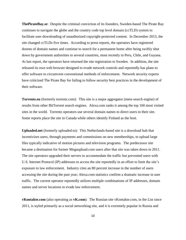**ThePirateBay.se**:Despite the criminal conviction of its founders, Sweden-based The Pirate Bay continues to navigate the globe and the country code top level domain (ccTLD) system to facilitate user downloading of unauthorized copyright-protected content. In December 2013, the site changed ccTLDs five times. According to press reports, the operators have registered dozens of domain names and continue to search for a permanent home after being swiftly shut down by government authorities in several countries, most recently in Peru, Chile, and Guyana. At last report, the operators have returned the site registration to Sweden. In addition, the site released its own web browser designed to evade network controls and reportedly has plans to offer software to circumvent conventional methods of enforcement. Network security experts have criticized The Pirate Bay for failing to follow security best practices in the development of their software.

**Torrentz.eu** (formerly torrentz.com): This site is a major aggregator (meta-search engine) of results from other BitTorrent search engines. Alexa.com ranks it among the top 160 most visited sites in the world. Torrentz operators use several domain names to direct users to their site. Some reports place the site in Canada while others identify Finland as the host.

**Uploaded.net** (formerly uploaded.to): This Netherlands-based site is a download hub that incentivizes users, through payments and commissions on new memberships, to upload large files typically indicative of motion pictures and television programs. The predecessor site became a destination for former Megaupload.com users after that site was taken down in 2011. The site operators upgraded their servers to accommodate the traffic but prevented users with U.S. Internet Protocol (IP) addresses to access the site reportedly in an effort to limit the site's exposure to law enforcement. Industry cites an 80 percent increase in the number of users accessing the site during the past year; Alexa.com statistics confirm a dramatic increase in user traffic. The current operator reportedly utilizes multiple combinations of IP addresses, domain names and server locations to evade law enforcement.

**vKontakte.com** (also operating as **vK.com**):The Russian site vKontakte.com, in the List since 2011, is styled primarily as a social networking site, and it is extremely popular in Russia and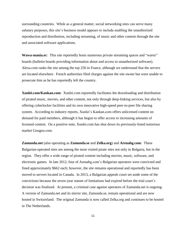surrounding countries. While as a general matter, social networking sites can serve many salutary purposes, this site's business model appears to include enabling the unauthorized reproduction and distribution, including streaming, of music and other content through the site and associated software applications.

**Wawa-mania.ec**: This site reportedly hosts numerous private streaming spaces and "warez" boards (bulletin boards providing information about and access to unauthorized software). Alexa.com ranks the site among the top 250 in France, although we understand that the servers are located elsewhere. French authorities filed charges against the site owner but were unable to prosecute him as he has reportedly left the country.

**Xunlei.com/Kankan.com**: Xunlei.com reportedly facilitates the downloading and distribution of pirated music, movies, and other content, not only through deep-linking services, but also by offering cyberlocker facilities and its own innovative high-speed peer-to-peer file sharing system. According to industry reports, Xunlei's Kankan.com offers unlicensed content on demand for paid members, although it has begun to offer access to increasing amounts of licensed content. On a positive note, Xunlei.com has shut down its previously-listed notorious market Gougou.com.

**Zamunda.net** (also operating as **Zamunda.se** and **Zelka.org**) and **Arenabg.com**: These Bulgarian-operated sites are among the most visited pirate sites not only in Bulgaria, but in the region. They offer a wide range of pirated content including movies, music, software, and electronic games. In late 2012, four of Arenabg.com's Bulgarian operators were convicted and fined approximately \$662 each; however, the site remains operational and reportedly has been moved to servers located in Canada. In 2013, a Bulgarian appeals court set aside some of the convictions because the seven-year statute of limitations had expired before the trial court's decision was finalized. At present, a criminal case against operators of Zamunda.net is ongoing. A version of Zamunda.net and its mirror site, Zamunda.se, remain operational and are now hosted in Switzerland. The original Zamunda is now called Zelka.org and continues to be hosted in The Netherlands.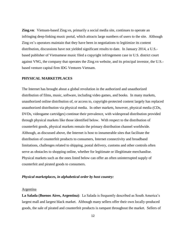**Zing.vn**: Vietnam-based Zing.vn, primarily a social media site, continues to operate an infringing deep-linking music portal, which attracts large numbers of users to the site. Although Zing.vn's operators maintain that they have been in negotiations to legitimize its content distribution, discussions have not yielded significant results to date. In January 2014, a U.S. based publisher of Vietnamese music filed a copyright infringement case in U.S. district court against VNG, the company that operates the Zing.vn website, and its principal investor, the U.S. based venture capital firm IDG Ventures Vietnam.

# **PHYSICAL MARKETPLACES**

The Internet has brought about a global revolution in the authorized and unauthorized distribution of films, music, software, including video games, and books. In many markets, unauthorized online distribution of, or access to, copyright-protected content largely has replaced unauthorized distribution via physical media. In other markets, however, physical media (CDs, DVDs, videogame cartridges) continue their prevalence, with widespread distribution provided through physical markets like those identified below. With respect to the distribution of counterfeit goods, physical markets remain the primary distribution channel worldwide. Although, as discussed above, the Internet is host to innumerable sites that facilitate the distribution of counterfeit products to consumers, Internet connectivity and broadband limitations, challenges related to shipping, postal delivery, customs and other controls often serve as obstacles to shopping online, whether for legitimate or illegitimate merchandise. Physical markets such as the ones listed below can offer an often uninterrupted supply of counterfeit and pirated goods to consumers.

## *Physical marketplaces, in alphabetical order by host country:*

#### Argentina

**La Salada (Buenos Aires, Argentina)**: La Salada is frequently described as South America's largest mall and largest black market. Although many sellers offer their own locally-produced goods, the sale of pirated and counterfeit products is rampant throughout the market. Sellers of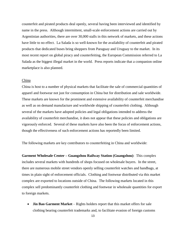counterfeit and pirated products deal openly, several having been interviewed and identified by name in the press. Although intermittent, small-scale enforcement actions are carried out by Argentinian authorities, there are over 30,000 stalls in this network of markets, and these actions have little to no effect. La Salada is so well-known for the availability of counterfeit and pirated products that dedicated buses bring shoppers from Paraguay and Uruguay to the market. In its most recent report on global piracy and counterfeiting, the European Commission referred to La Salada as the biggest illegal market in the world. Press reports indicate that a companion online marketplace is also planned.

#### China

China is host to a number of physical markets that facilitate the sale of commercial quantities of apparel and footwear not just for consumption in China but for distribution and sale worldwide. These markets are known for the prominent and extensive availability of counterfeit merchandise as well as on demand manufacture and worldwide shipping of counterfeit clothing. Although several of the markets have adopted policies and legal obligations intended to address the availability of counterfeit merchandise, it does not appear that these policies and obligations are vigorously enforced. Several of these markets have also been the focus of enforcement actions, though the effectiveness of such enforcement actions has reportedly been limited.

The following markets are key contributors to counterfeiting in China and worldwide:

**Garment Wholesale Center – Guangzhou Railway Station (Guangzhou)**: This complex includes several markets with hundreds of shops focused on wholesale buyers. In the street, there are numerous mobile street vendors openly selling counterfeit watches and handbags, at times in plain sight of enforcement officials. Clothing and footwear distributed via this market complex are exported to locations outside of China. The following markets located in this complex sell predominantly counterfeit clothing and footwear in wholesale quantities for export to foreign markets.

 **Jin Bao Garment Market** – Rights holders report that this market offers for sale clothing bearing counterfeit trademarks and, to facilitate evasion of foreign customs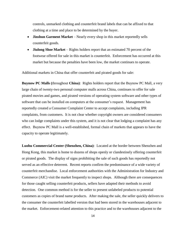controls, unmarked clothing and counterfeit brand labels that can be affixed to that clothing at a time and place to be determined by the buyer.

- **Jinshun Garment Market** Nearly every shop in this market reportedly sells counterfeit goods.
- **Jiulong Shoe Market** Rights holders report that an estimated 70 percent of the footwear offered for sale in this market is counterfeit. Enforcement has occurred at this market but because the penalties have been low, the market continues to operate.

Additional markets in China that offer counterfeit and pirated goods for sale:

**Buynow PC Malls (**throughout **China)**: Rights holders report that the Buynow PC Mall, a very large chain of twenty-two personal computer malls across China, continues to offer for sale pirated movies and games, and pirated versions of operating system software and other types of software that can be installed on computers at the consumer's request. Management has reportedly created a Consumer Complaint Center to accept complaints, including IPR complaints, from customers. It is not clear whether copyright owners are considered consumers who can lodge complaints under this system, and it is not clear that lodging a complaint has any effect. Buynow PC Mall is a well-established, formal chain of markets that appears to have the capacity to operate legitimately.

**Luohu Commercial Center (Shenzhen, China)**: Located at the border between Shenzhen and Hong Kong, this market is home to dozens of shops openly or clandestinely offering counterfeit or pirated goods. The display of signs prohibiting the sale of such goods has reportedly not served as an effective deterrent. Recent reports confirm the predominance of a wide variety of counterfeit merchandise. Local enforcement authorities with the Administration for Industry and Commerce (AIC) visit the market frequently to inspect shops. Although there are consequences for those caught selling counterfeit products, sellers have adapted their methods to avoid detection. One common method is for the seller to present unlabeled products to potential customers as copies of brand name products. After making the sale, the seller quickly delivers to the consumer the counterfeit labelled version that had been stored in the warehouses adjacent to the market. Enforcement-related attention to this practice and to the warehouses adjacent to the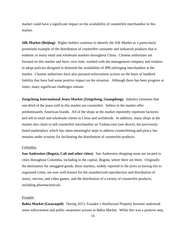market could have a significant impact on the availability of counterfeit merchandise in this market.

**Silk Market (Beijing)**: Rights holders continue to identify the Silk Market as a particularly prominent example of the distribution of counterfeit consumer and industrial products that is endemic in many retail and wholesale markets throughout China. Chinese authorities are focused on this market and have, over time, worked with the management company and vendors to adopt policies designed to diminish the availability of IPR-infringing merchandise at the market. Chinese authorities have also pursued enforcement actions on the basis of landlord liability that have had some positive impact on the situation. Although there has been progress at times, many significant challenges remain.

**Zengcheng International Jeans Market (Zengcheng, Guangdong)**: Industry estimates that one-third of the jeans sold in this market are counterfeit. Sellers in the market offer predominantly American brands. All of the shops at the market reportedly represent factories and sell to retail and wholesale clients in China and worldwide. In addition, many shops at the market also claim to sell counterfeit merchandise on Taobao.com (see above), the previouslylisted marketplace which has taken meaningful steps to address counterfeiting and piracy but remains under scrutiny for facilitating the distribution of counterfeit products.

#### Colombia

**San Andresitos (Bogotá, Cali and other cities)**: San Andresitos shopping areas are located in cities throughout Colombia, including in the capital, Bogotá, where there are three. Originally the destination for smuggled goods, these markets, widely reported in the press as having ties to organized crime, are now well-known for the unauthorized reproduction and distribution of music, movies, and video games, and the distribution of a variety of counterfeit products, including pharmaceuticals.

#### Ecuador

**Bahia Market (Guayaquil)**: During 2013, Ecuador's Intellectual Property Institute undertook some enforcement and public awareness actions in Bahia Market. While this was a positive step,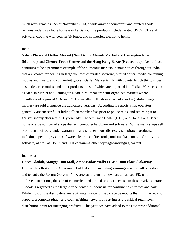much work remains. As of November 2013, a wide array of counterfeit and pirated goods remains widely available for sale in La Bahia. The products include pirated DVDs, CDs and software, clothing with counterfeit logos, and counterfeit electronic items.

#### India

**Nehru Place** and **Gaffar Market (New Delhi), Manish Market** and **Lamington Road (Mumbai),** and **Chenoy Trade Center** and **the Hong Kong Bazar (Hyderabad)**: Nehru Place continues to be a prominent example of the numerous markets in major cities throughout India that are known for dealing in large volumes of pirated software, pirated optical media containing movies and music, and counterfeit goods. Gaffar Market is rife with counterfeit clothing, shoes, cosmetics, electronics, and other products, most of which are imported into India. Markets such as Manish Market and Lamington Road in Mumbai are semi-organized markets where unauthorized copies of CDs and DVDs (mostly of Hindi movies but also English-language movies) are sold alongside the authorized versions. According to reports, shop operators generally are successful at hiding illicit merchandise prior to police raids, and returning it to shelves shortly after a raid. Hyderabad's Chenoy Trade Center (CTC) and Hong Kong Bazar house a large number of shops that sell computer hardware and software. While many shops sell proprietary software under warranty, many smaller shops discretely sell pirated products, including operating system software, electronic office tools, multimedia games, and anti-virus software, as well as DVDs and CDs containing other copyright-infringing content.

# Indonesia

# **Harco Glodok, Mangga Dua Mall, Ambassador Mall/ITC** and **Ratu Plaza (Jakarta)**:

Despite the efforts of the Government of Indonesia, including warnings sent to mall operators and tenants, the Jakarta Governor's Decree calling on mall owners to respect IPR, and enforcement actions, the sale of counterfeit and pirated products persists in these markets. Harco Glodok is regarded as the largest trade center in Indonesia for consumer electronics and parts. While most of the distributors are legitimate, we continue to receive reports that this market also supports a complex piracy and counterfeiting network by serving as the critical retail level distribution point for infringing products. This year, we have added to the List three additional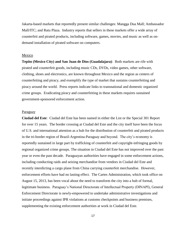Jakarta-based markets that reportedly present similar challenges: Mangga Dua Mall; Ambassador Mall/ITC; and Ratu Plaza. Industry reports that sellers in these markets offer a wide array of counterfeit and pirated products, including software, games, movies, and music as well as ondemand installation of pirated software on computers.

# Mexico

**Tepito (Mexico City) and San Juan de Dios (Guadalajara)**: Both markets are rife with pirated and counterfeit goods, including music CDs, DVDs, video games, other software, clothing, shoes and electronics, are known throughout Mexico and the region as centers of counterfeiting and piracy, and exemplify the type of market that sustains counterfeiting and piracy around the world. Press reports indicate links to transnational and domestic organized crime groups. Eradicating piracy and counterfeiting in these markets requires sustained government-sponsored enforcement action.

#### Paraguay

**Ciudad del Este**: Ciudad del Este has been named in either the List or the Special 301 Report for over 15 years. The border crossing at Ciudad del Este and the city itself have been the focus of U.S. and international attention as a hub for the distribution of counterfeit and pirated products in the tri-border region of Brazil-Argentina-Paraguay and beyond. The city's economy is reportedly sustained in large part by trafficking of counterfeit and copyright-infringing goods by regional organized crime groups. The situation in Ciudad del Este has not improved over the past year or even the past decade. Paraguayan authorities have engaged in some enforcement actions, including conducting raids and seizing merchandise from vendors in Ciudad del Este and recently interdicting a cargo plane from China carrying counterfeit merchandise. However, enforcement efforts have had no lasting effect. The Cartes Administration, which took office on August 15, 2013, has been vocal about the need to transform the city into a hub of formal, legitimate business. Paraguay's National Directorate of Intellectual Property (DINAPI), General Enforcement Directorate is newly-empowered to undertake administrative investigations and initiate proceedings against IPR violations at customs checkpoints and business premises, supplementing the existing enforcement authorities at work in Ciudad del Este.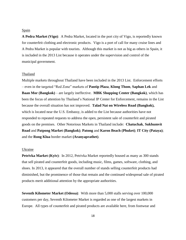#### Spain

**A Pedra Market (Vigo)**: A Pedra Market, located in the port city of Vigo, is reportedly known for counterfeit clothing and electronic products. Vigo is a port of call for many cruise lines and A Pedra Market is popular with tourists. Although this market is not as big as others in Spain, it is included in the 2013 List because it operates under the supervision and control of the municipal government.

#### Thailand

Multiple markets throughout Thailand have been included in the 2013 List. Enforcement efforts – even in the targeted "Red Zone" markets of **Pantip Plaza**, **Klong Thom**, **Saphan Lek** and **Baan Mor (Bangkok)** – are largely ineffective. **MBK Shopping Center (Bangkok)**, which has been the focus of attention by Thailand's National IP Center for Enforcement, remains in the List because the overall situation has not improved. **Talad Nat on Wireless Road (Bangkok),** which is located near the U.S. Embassy, is added to the List because authorities have not responded to repeated requests to address the open, persistent sale of counterfeit and pirated goods on the premises. Other Notorious Markets in Thailand include: **Chatuchak**, **Sukhumvit Road** and **Patpong Market (Bangkok)**; **Patong** and **Karon Beach (Phuket)**; **IT City (Pataya)**; and the **Rong Klua** border market **(Aranyaprathet)**.

#### Ukraine

**Petrivka Market (Kyiv)**: In 2012, Petrivka Market reportedly housed as many as 300 stands that sell pirated and counterfeit goods, including music, films, games, software, clothing, and shoes. In 2013, it appeared that the overall number of stands selling counterfeit products had diminished, but the prominence of those that remain and the continued widespread sale of pirated products merit additional attention by the appropriate authorities.

**Seventh Kilometer Market (Odessa)**: With more than 5,000 stalls serving over 100,000 customers per day, Seventh Kilometer Market is regarded as one of the largest markets in Europe. All types of counterfeit and pirated products are available here, from footwear and